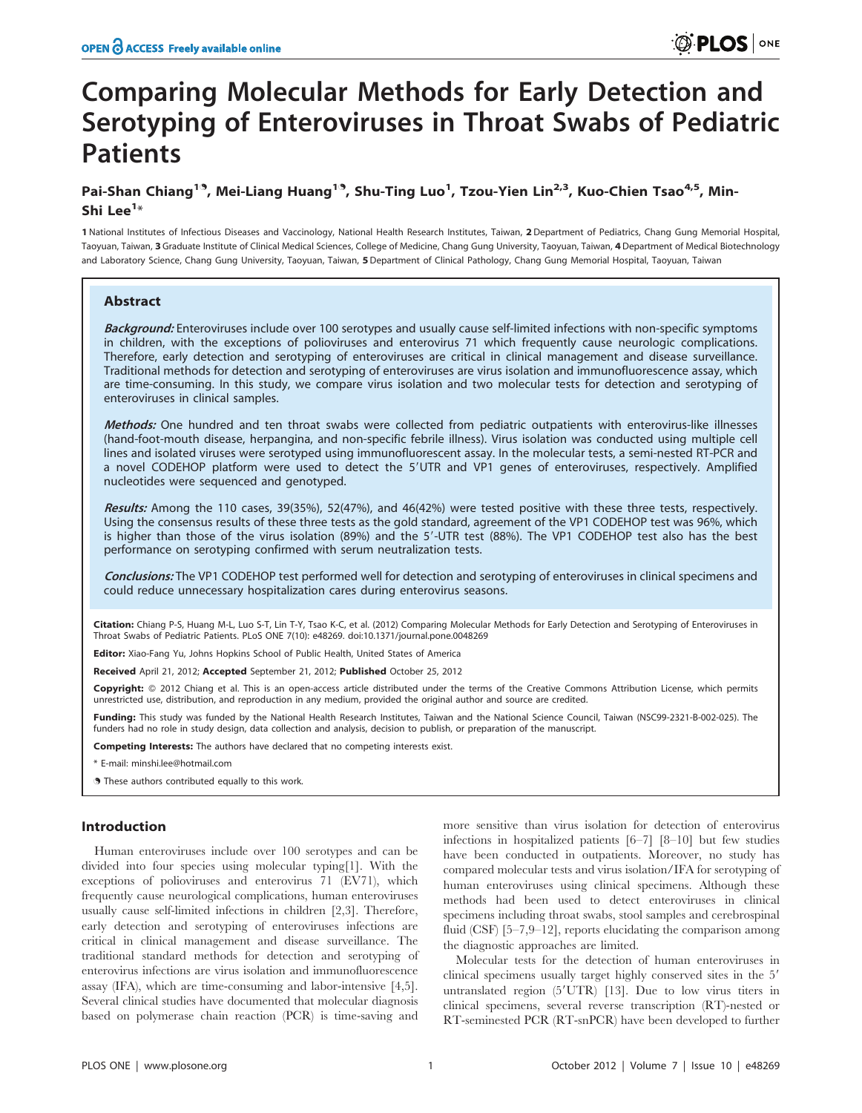# Comparing Molecular Methods for Early Detection and Serotyping of Enteroviruses in Throat Swabs of Pediatric **Patients**

# Pai-Shan Chiang<sup>19</sup>, Mei-Liang Huang<sup>19</sup>, Shu-Ting Luo<sup>1</sup>, Tzou-Yien Lin<sup>2,3</sup>, Kuo-Chien Tsao<sup>4,5</sup>, Min-Shi Lee $^{1*}$

1 National Institutes of Infectious Diseases and Vaccinology, National Health Research Institutes, Taiwan, 2 Department of Pediatrics, Chang Gung Memorial Hospital, Taoyuan, Taiwan, 3 Graduate Institute of Clinical Medical Sciences, College of Medicine, Chang Gung University, Taoyuan, Taiwan, 4 Department of Medical Biotechnology and Laboratory Science, Chang Gung University, Taoyuan, Taiwan, 5 Department of Clinical Pathology, Chang Gung Memorial Hospital, Taoyuan, Taiwan

# Abstract

Background: Enteroviruses include over 100 serotypes and usually cause self-limited infections with non-specific symptoms in children, with the exceptions of polioviruses and enterovirus 71 which frequently cause neurologic complications. Therefore, early detection and serotyping of enteroviruses are critical in clinical management and disease surveillance. Traditional methods for detection and serotyping of enteroviruses are virus isolation and immunofluorescence assay, which are time-consuming. In this study, we compare virus isolation and two molecular tests for detection and serotyping of enteroviruses in clinical samples.

Methods: One hundred and ten throat swabs were collected from pediatric outpatients with enterovirus-like illnesses (hand-foot-mouth disease, herpangina, and non-specific febrile illness). Virus isolation was conducted using multiple cell lines and isolated viruses were serotyped using immunofluorescent assay. In the molecular tests, a semi-nested RT-PCR and a novel CODEHOP platform were used to detect the 5'UTR and VP1 genes of enteroviruses, respectively. Amplified nucleotides were sequenced and genotyped.

Results: Among the 110 cases, 39(35%), 52(47%), and 46(42%) were tested positive with these three tests, respectively. Using the consensus results of these three tests as the gold standard, agreement of the VP1 CODEHOP test was 96%, which is higher than those of the virus isolation (89%) and the 5'-UTR test (88%). The VP1 CODEHOP test also has the best performance on serotyping confirmed with serum neutralization tests.

Conclusions: The VP1 CODEHOP test performed well for detection and serotyping of enteroviruses in clinical specimens and could reduce unnecessary hospitalization cares during enterovirus seasons.

Citation: Chiang P-S, Huang M-L, Luo S-T, Lin T-Y, Tsao K-C, et al. (2012) Comparing Molecular Methods for Early Detection and Serotyping of Enteroviruses in Throat Swabs of Pediatric Patients. PLoS ONE 7(10): e48269. doi:10.1371/journal.pone.0048269

Editor: Xiao-Fang Yu, Johns Hopkins School of Public Health, United States of America

Received April 21, 2012; Accepted September 21, 2012; Published October 25, 2012

Copyright: © 2012 Chiang et al. This is an open-access article distributed under the terms of the Creative Commons Attribution License, which permits unrestricted use, distribution, and reproduction in any medium, provided the original author and source are credited.

Funding: This study was funded by the National Health Research Institutes, Taiwan and the National Science Council, Taiwan (NSC99-2321-B-002-025). The funders had no role in study design, data collection and analysis, decision to publish, or preparation of the manuscript.

Competing Interests: The authors have declared that no competing interests exist.

\* E-mail: minshi.lee@hotmail.com

. These authors contributed equally to this work.

# Introduction

Human enteroviruses include over 100 serotypes and can be divided into four species using molecular typing[1]. With the exceptions of polioviruses and enterovirus 71 (EV71), which frequently cause neurological complications, human enteroviruses usually cause self-limited infections in children [2,3]. Therefore, early detection and serotyping of enteroviruses infections are critical in clinical management and disease surveillance. The traditional standard methods for detection and serotyping of enterovirus infections are virus isolation and immunofluorescence assay (IFA), which are time-consuming and labor-intensive [4,5]. Several clinical studies have documented that molecular diagnosis based on polymerase chain reaction (PCR) is time-saving and more sensitive than virus isolation for detection of enterovirus infections in hospitalized patients [6–7] [8–10] but few studies have been conducted in outpatients. Moreover, no study has compared molecular tests and virus isolation/IFA for serotyping of human enteroviruses using clinical specimens. Although these methods had been used to detect enteroviruses in clinical specimens including throat swabs, stool samples and cerebrospinal fluid  $(CSF)$  [5–7,9–12], reports elucidating the comparison among the diagnostic approaches are limited.

Molecular tests for the detection of human enteroviruses in clinical specimens usually target highly conserved sites in the 5' untranslated region (5'UTR) [13]. Due to low virus titers in clinical specimens, several reverse transcription (RT)-nested or RT-seminested PCR (RT-snPCR) have been developed to further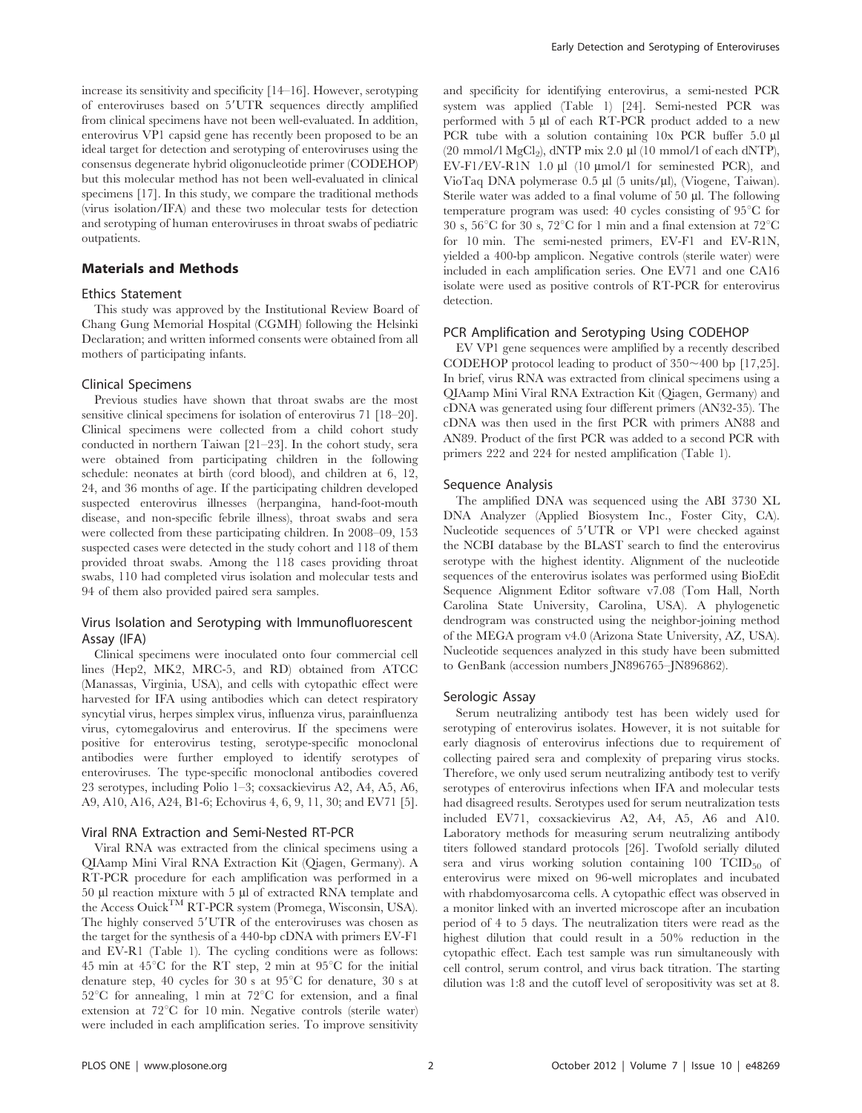increase its sensitivity and specificity [14–16]. However, serotyping of enteroviruses based on 5'UTR sequences directly amplified from clinical specimens have not been well-evaluated. In addition, enterovirus VP1 capsid gene has recently been proposed to be an ideal target for detection and serotyping of enteroviruses using the consensus degenerate hybrid oligonucleotide primer (CODEHOP) but this molecular method has not been well-evaluated in clinical specimens [17]. In this study, we compare the traditional methods (virus isolation/IFA) and these two molecular tests for detection and serotyping of human enteroviruses in throat swabs of pediatric outpatients.

# Materials and Methods

# Ethics Statement

This study was approved by the Institutional Review Board of Chang Gung Memorial Hospital (CGMH) following the Helsinki Declaration; and written informed consents were obtained from all mothers of participating infants.

#### Clinical Specimens

Previous studies have shown that throat swabs are the most sensitive clinical specimens for isolation of enterovirus 71 [18–20]. Clinical specimens were collected from a child cohort study conducted in northern Taiwan [21–23]. In the cohort study, sera were obtained from participating children in the following schedule: neonates at birth (cord blood), and children at 6, 12, 24, and 36 months of age. If the participating children developed suspected enterovirus illnesses (herpangina, hand-foot-mouth disease, and non-specific febrile illness), throat swabs and sera were collected from these participating children. In 2008–09, 153 suspected cases were detected in the study cohort and 118 of them provided throat swabs. Among the 118 cases providing throat swabs, 110 had completed virus isolation and molecular tests and 94 of them also provided paired sera samples.

# Virus Isolation and Serotyping with Immunofluorescent Assay (IFA)

Clinical specimens were inoculated onto four commercial cell lines (Hep2, MK2, MRC-5, and RD) obtained from ATCC (Manassas, Virginia, USA), and cells with cytopathic effect were harvested for IFA using antibodies which can detect respiratory syncytial virus, herpes simplex virus, influenza virus, parainfluenza virus, cytomegalovirus and enterovirus. If the specimens were positive for enterovirus testing, serotype-specific monoclonal antibodies were further employed to identify serotypes of enteroviruses. The type-specific monoclonal antibodies covered 23 serotypes, including Polio 1–3; coxsackievirus A2, A4, A5, A6, A9, A10, A16, A24, B1-6; Echovirus 4, 6, 9, 11, 30; and EV71 [5].

#### Viral RNA Extraction and Semi-Nested RT-PCR

Viral RNA was extracted from the clinical specimens using a QIAamp Mini Viral RNA Extraction Kit (Qiagen, Germany). A RT-PCR procedure for each amplification was performed in a 50 µl reaction mixture with 5 µl of extracted RNA template and the Access Ouick<sup>TM</sup> RT-PCR system (Promega, Wisconsin, USA). The highly conserved 5'UTR of the enteroviruses was chosen as the target for the synthesis of a 440-bp cDNA with primers EV-F1 and EV-R1 (Table 1). The cycling conditions were as follows: 45 min at  $45^{\circ}$ C for the RT step, 2 min at  $95^{\circ}$ C for the initial denature step, 40 cycles for 30 s at  $95^{\circ}$ C for denature, 30 s at  $52^{\circ}$ C for annealing, 1 min at  $72^{\circ}$ C for extension, and a final extension at  $72^{\circ}$ C for 10 min. Negative controls (sterile water) were included in each amplification series. To improve sensitivity

and specificity for identifying enterovirus, a semi-nested PCR system was applied (Table 1) [24]. Semi-nested PCR was performed with 5 µl of each RT-PCR product added to a new PCR tube with a solution containing 10x PCR buffer 5.0  $\mu$ l (20 mmol/l MgCl<sub>2</sub>), dNTP mix 2.0  $\mu$ l (10 mmol/l of each dNTP), EV-F1/EV-R1N 1.0 µl (10 µmol/l for seminested PCR), and VioTaq DNA polymerase  $0.5 \mu$ l (5 units/ $\mu$ l), (Viogene, Taiwan). Sterile water was added to a final volume of  $50 \mu$ . The following temperature program was used:  $40$  cycles consisting of  $95^{\circ}$ C for 30 s,  $56^{\circ}$ C for 30 s,  $72^{\circ}$ C for 1 min and a final extension at  $72^{\circ}$ C for 10 min. The semi-nested primers, EV-F1 and EV-R1N, yielded a 400-bp amplicon. Negative controls (sterile water) were included in each amplification series. One EV71 and one CA16 isolate were used as positive controls of RT-PCR for enterovirus detection.

#### PCR Amplification and Serotyping Using CODEHOP

EV VP1 gene sequences were amplified by a recently described CODEHOP protocol leading to product of  $350 \sim 400$  bp [17,25]. In brief, virus RNA was extracted from clinical specimens using a QIAamp Mini Viral RNA Extraction Kit (Qiagen, Germany) and cDNA was generated using four different primers (AN32-35). The cDNA was then used in the first PCR with primers AN88 and AN89. Product of the first PCR was added to a second PCR with primers 222 and 224 for nested amplification (Table 1).

#### Sequence Analysis

The amplified DNA was sequenced using the ABI 3730 XL DNA Analyzer (Applied Biosystem Inc., Foster City, CA). Nucleotide sequences of 5'UTR or VP1 were checked against the NCBI database by the BLAST search to find the enterovirus serotype with the highest identity. Alignment of the nucleotide sequences of the enterovirus isolates was performed using BioEdit Sequence Alignment Editor software v7.08 (Tom Hall, North Carolina State University, Carolina, USA). A phylogenetic dendrogram was constructed using the neighbor-joining method of the MEGA program v4.0 (Arizona State University, AZ, USA). Nucleotide sequences analyzed in this study have been submitted to GenBank (accession numbers JN896765–JN896862).

### Serologic Assay

Serum neutralizing antibody test has been widely used for serotyping of enterovirus isolates. However, it is not suitable for early diagnosis of enterovirus infections due to requirement of collecting paired sera and complexity of preparing virus stocks. Therefore, we only used serum neutralizing antibody test to verify serotypes of enterovirus infections when IFA and molecular tests had disagreed results. Serotypes used for serum neutralization tests included EV71, coxsackievirus A2, A4, A5, A6 and A10. Laboratory methods for measuring serum neutralizing antibody titers followed standard protocols [26]. Twofold serially diluted sera and virus working solution containing  $100$  TCID<sub>50</sub> of enterovirus were mixed on 96-well microplates and incubated with rhabdomyosarcoma cells. A cytopathic effect was observed in a monitor linked with an inverted microscope after an incubation period of 4 to 5 days. The neutralization titers were read as the highest dilution that could result in a 50% reduction in the cytopathic effect. Each test sample was run simultaneously with cell control, serum control, and virus back titration. The starting dilution was 1:8 and the cutoff level of seropositivity was set at 8.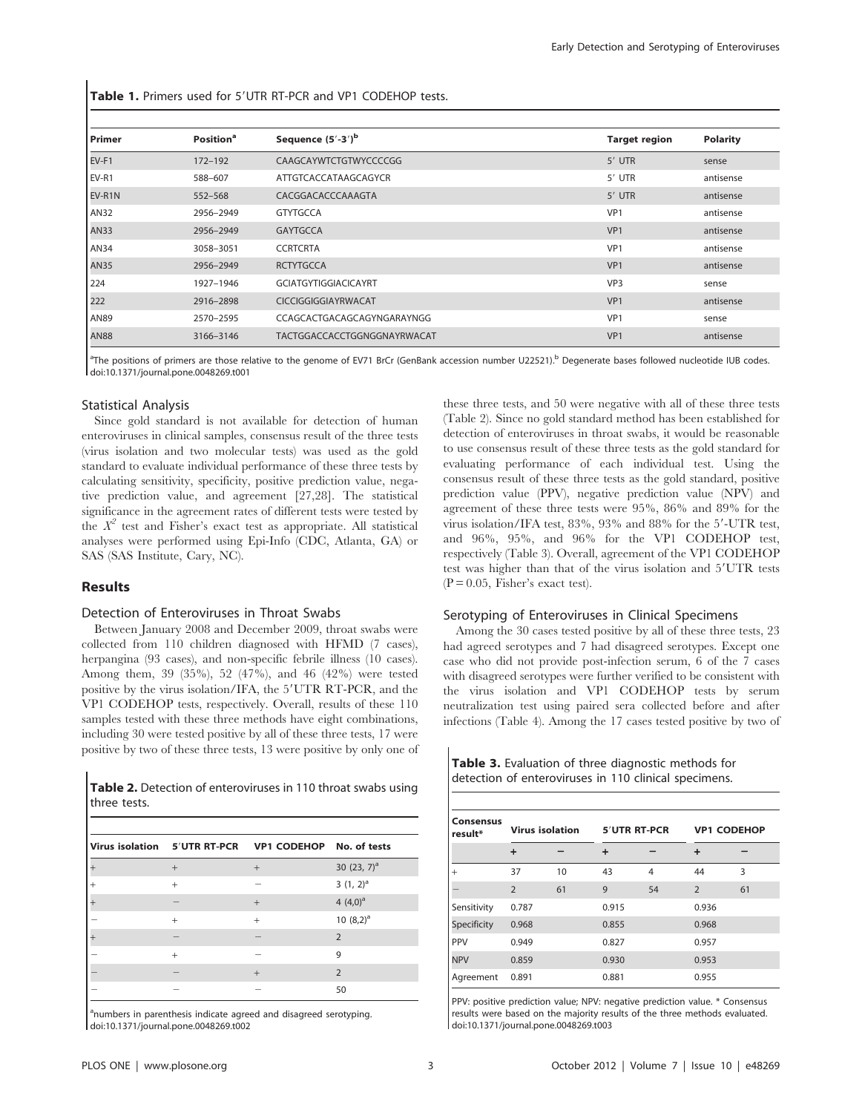Table 1. Primers used for 5'UTR RT-PCR and VP1 CODEHOP tests.

| Primer      | <b>Position</b> <sup>a</sup> | Sequence $(5'-3')^b$        | <b>Target region</b> | <b>Polarity</b> |
|-------------|------------------------------|-----------------------------|----------------------|-----------------|
| EV-F1       | 172-192                      | CAAGCAYWTCTGTWYCCCCGG       | 5' UTR               | sense           |
| EV-R1       | 588-607                      | ATTGTCACCATAAGCAGYCR        | 5' UTR               | antisense       |
| EV-R1N      | 552-568                      | CACGGACACCCAAAGTA           | 5' UTR               | antisense       |
| <b>AN32</b> | 2956-2949                    | <b>GTYTGCCA</b>             | VP1                  | antisense       |
| <b>AN33</b> | 2956-2949                    | <b>GAYTGCCA</b>             | VP1                  | antisense       |
| <b>AN34</b> | 3058-3051                    | <b>CCRTCRTA</b>             | VP <sub>1</sub>      | antisense       |
| <b>AN35</b> | 2956-2949                    | <b>RCTYTGCCA</b>            | VP <sub>1</sub>      | antisense       |
| 224         | 1927-1946                    | <b>GCIATGYTIGGIACICAYRT</b> | VP <sub>3</sub>      | sense           |
| 222         | 2916-2898                    | <b>CICCIGGIGGIAYRWACAT</b>  | VP1                  | antisense       |
| <b>AN89</b> | 2570-2595                    | CCAGCACTGACAGCAGYNGARAYNGG  | VP1                  | sense           |
| <b>AN88</b> | 3166-3146                    | TACTGGACCACCTGGNGGNAYRWACAT | VP <sub>1</sub>      | antisense       |

<sup>a</sup>The positions of primers are those relative to the genome of EV71 BrCr (GenBank accession number U22521).<sup>b</sup> Degenerate bases followed nucleotide IUB codes. doi:10.1371/journal.pone.0048269.t001

# Statistical Analysis

Since gold standard is not available for detection of human enteroviruses in clinical samples, consensus result of the three tests (virus isolation and two molecular tests) was used as the gold standard to evaluate individual performance of these three tests by calculating sensitivity, specificity, positive prediction value, negative prediction value, and agreement [27,28]. The statistical significance in the agreement rates of different tests were tested by the  $X^2$  test and Fisher's exact test as appropriate. All statistical analyses were performed using Epi-Info (CDC, Atlanta, GA) or SAS (SAS Institute, Cary, NC).

# Results

#### Detection of Enteroviruses in Throat Swabs

Between January 2008 and December 2009, throat swabs were collected from 110 children diagnosed with HFMD (7 cases), herpangina (93 cases), and non-specific febrile illness (10 cases). Among them, 39 (35%), 52 (47%), and 46 (42%) were tested positive by the virus isolation/IFA, the 5'UTR RT-PCR, and the VP1 CODEHOP tests, respectively. Overall, results of these 110 samples tested with these three methods have eight combinations, including 30 were tested positive by all of these three tests, 17 were positive by two of these three tests, 13 were positive by only one of

Table 2. Detection of enteroviruses in 110 throat swabs using three tests.

|                          | Virus isolation 5'UTR RT-PCR VP1 CODEHOP No. of tests |                |
|--------------------------|-------------------------------------------------------|----------------|
| $+$                      | $+$                                                   | 30 $(23, 7)^a$ |
| $^{+}$                   |                                                       | $3(1, 2)^a$    |
|                          | $+$                                                   | 4 $(4,0)^a$    |
| $\ddot{}$                | $\ddot{}$                                             | 10 $(8,2)^a$   |
| $\overline{\phantom{a}}$ |                                                       | $\mathcal{P}$  |
| $\ddot{}$                |                                                       | 9              |
|                          | $^{+}$                                                | $\overline{2}$ |
|                          |                                                       | 50             |

<sup>a</sup>numbers in parenthesis indicate agreed and disagreed serotyping. doi:10.1371/journal.pone.0048269.t002

these three tests, and 50 were negative with all of these three tests (Table 2). Since no gold standard method has been established for detection of enteroviruses in throat swabs, it would be reasonable to use consensus result of these three tests as the gold standard for evaluating performance of each individual test. Using the consensus result of these three tests as the gold standard, positive prediction value (PPV), negative prediction value (NPV) and agreement of these three tests were 95%, 86% and 89% for the virus isolation/IFA test,  $83\%$ ,  $93\%$  and  $88\%$  for the  $5'$ -UTR test, and 96%, 95%, and 96% for the VP1 CODEHOP test, respectively (Table 3). Overall, agreement of the VP1 CODEHOP test was higher than that of the virus isolation and 5'UTR tests  $(P = 0.05,$  Fisher's exact test).

#### Serotyping of Enteroviruses in Clinical Specimens

Among the 30 cases tested positive by all of these three tests, 23 had agreed serotypes and 7 had disagreed serotypes. Except one case who did not provide post-infection serum, 6 of the 7 cases with disagreed serotypes were further verified to be consistent with the virus isolation and VP1 CODEHOP tests by serum neutralization test using paired sera collected before and after infections (Table 4). Among the 17 cases tested positive by two of

Table 3. Evaluation of three diagnostic methods for detection of enteroviruses in 110 clinical specimens.

| <b>Consensus</b><br>result* | <b>Virus isolation</b> |    | <b>5'UTR RT-PCR</b> |                | <b>VP1 CODEHOP</b> |    |
|-----------------------------|------------------------|----|---------------------|----------------|--------------------|----|
|                             | $\ddot{}$              |    | $\ddot{}$           |                | ÷                  |    |
| $^{+}$                      | 37                     | 10 | 43                  | $\overline{4}$ | 44                 | 3  |
|                             | $\overline{2}$         | 61 | 9                   | 54             | $\overline{2}$     | 61 |
| Sensitivity                 | 0.787                  |    | 0.915               |                | 0.936              |    |
| Specificity                 | 0.968                  |    | 0.855               |                | 0.968              |    |
| PPV                         | 0.949                  |    | 0.827               |                | 0.957              |    |
| <b>NPV</b>                  | 0.859                  |    | 0.930               |                | 0.953              |    |
| Agreement                   | 0.891                  |    | 0.881               |                | 0.955              |    |

PPV: positive prediction value; NPV: negative prediction value. \* Consensus results were based on the majority results of the three methods evaluated. doi:10.1371/journal.pone.0048269.t003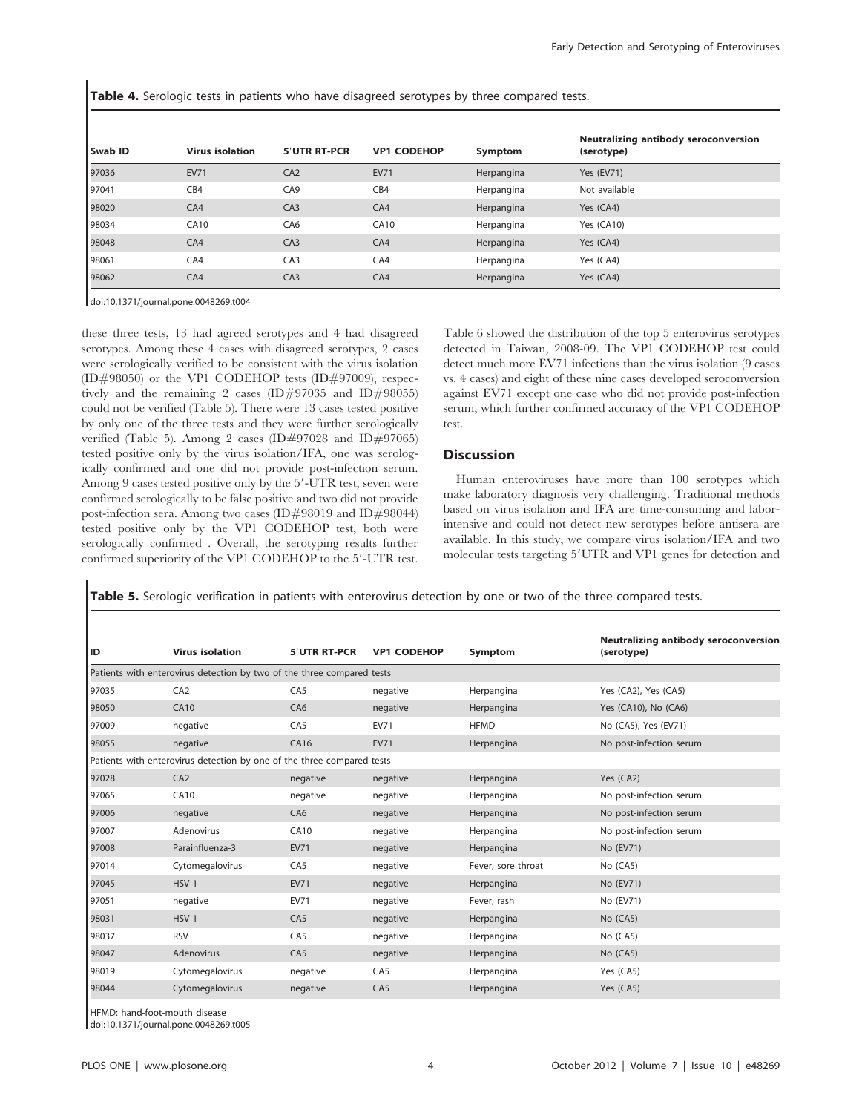Table 4. Serologic tests in patients who have disagreed serotypes by three compared tests.

| Swab ID | <b>Virus isolation</b> | 5'UTR RT-PCR    | <b>VP1 CODEHOP</b> | Symptom    | <b>Neutralizing antibody seroconversion</b><br>(serotype) |
|---------|------------------------|-----------------|--------------------|------------|-----------------------------------------------------------|
| 97036   | <b>EV71</b>            | CA2             | <b>EV71</b>        | Herpangina | <b>Yes (EV71)</b>                                         |
| 97041   | CB4                    | CA <sub>9</sub> | CB4                | Herpangina | Not available                                             |
| 98020   | CA4                    | C <sub>A3</sub> | CA4                | Herpangina | Yes (CA4)                                                 |
| 98034   | <b>CA10</b>            | CA <sub>6</sub> | <b>CA10</b>        | Herpangina | Yes (CA10)                                                |
| 98048   | CA4                    | CA3             | CA4                | Herpangina | Yes (CA4)                                                 |
| 98061   | CA4                    | CA <sub>3</sub> | CA4                | Herpangina | Yes (CA4)                                                 |
| 98062   | CA4                    | CA3             | CA4                | Herpangina | Yes (CA4)                                                 |

doi:10.1371/journal.pone.0048269.t004

these three tests, 13 had agreed serotypes and 4 had disagreed serotypes. Among these 4 cases with disagreed serotypes, 2 cases were serologically verified to be consistent with the virus isolation  $(ID#98050)$  or the VP1 CODEHOP tests  $(ID#97009)$ , respectively and the remaining 2 cases (ID#97035 and ID#98055) could not be verified (Table 5). There were 13 cases tested positive by only one of the three tests and they were further serologically verified (Table 5). Among 2 cases (ID#97028 and ID#97065) tested positive only by the virus isolation/IFA, one was serologically confirmed and one did not provide post-infection serum. Among 9 cases tested positive only by the 5'-UTR test, seven were confirmed serologically to be false positive and two did not provide post-infection sera. Among two cases (ID#98019 and ID#98044) tested positive only by the VP1 CODEHOP test, both were serologically confirmed . Overall, the serotyping results further confirmed superiority of the VP1 CODEHOP to the 5'-UTR test.

Table 6 showed the distribution of the top 5 enterovirus serotypes detected in Taiwan, 2008-09. The VP1 CODEHOP test could detect much more EV71 infections than the virus isolation (9 cases vs. 4 cases) and eight of these nine cases developed seroconversion against EV71 except one case who did not provide post-infection serum, which further confirmed accuracy of the VP1 CODEHOP test.

# **Discussion**

Human enteroviruses have more than 100 serotypes which make laboratory diagnosis very challenging. Traditional methods based on virus isolation and IFA are time-consuming and laborintensive and could not detect new serotypes before antisera are available. In this study, we compare virus isolation/IFA and two molecular tests targeting 5'UTR and VP1 genes for detection and

Table 5. Serologic verification in patients with enterovirus detection by one or two of the three compared tests.

| ID    | <b>Virus isolation</b>                                                 | 5'UTR RT-PCR    | <b>VP1 CODEHOP</b> | Symptom            | <b>Neutralizing antibody seroconversion</b><br>(serotype) |
|-------|------------------------------------------------------------------------|-----------------|--------------------|--------------------|-----------------------------------------------------------|
|       | Patients with enterovirus detection by two of the three compared tests |                 |                    |                    |                                                           |
| 97035 | CA <sub>2</sub>                                                        | CA <sub>5</sub> | negative           | Herpangina         | Yes (CA2), Yes (CA5)                                      |
| 98050 | CA10                                                                   | CAG             | negative           | Herpangina         | Yes (CA10), No (CA6)                                      |
| 97009 | negative                                                               | CA <sub>5</sub> | <b>EV71</b>        | <b>HFMD</b>        | No (CA5), Yes (EV71)                                      |
| 98055 | negative                                                               | CA16            | <b>EV71</b>        | Herpangina         | No post-infection serum                                   |
|       | Patients with enterovirus detection by one of the three compared tests |                 |                    |                    |                                                           |
| 97028 | CA2                                                                    | negative        | negative           | Herpangina         | Yes (CA2)                                                 |
| 97065 | <b>CA10</b>                                                            | negative        | negative           | Herpangina         | No post-infection serum                                   |
| 97006 | negative                                                               | CA <sub>6</sub> | negative           | Herpangina         | No post-infection serum                                   |
| 97007 | Adenovirus                                                             | <b>CA10</b>     | negative           | Herpangina         | No post-infection serum                                   |
| 97008 | Parainfluenza-3                                                        | <b>EV71</b>     | negative           | Herpangina         | No (EV71)                                                 |
| 97014 | Cytomegalovirus                                                        | CA <sub>5</sub> | negative           | Fever, sore throat | No (CA5)                                                  |
| 97045 | $HSV-1$                                                                | <b>EV71</b>     | negative           | Herpangina         | No (EV71)                                                 |
| 97051 | negative                                                               | <b>EV71</b>     | negative           | Fever, rash        | No (EV71)                                                 |
| 98031 | $HSV-1$                                                                | CA <sub>5</sub> | negative           | Herpangina         | No (CA5)                                                  |
| 98037 | <b>RSV</b>                                                             | CA <sub>5</sub> | negative           | Herpangina         | No (CA5)                                                  |
| 98047 | Adenovirus                                                             | CA <sub>5</sub> | negative           | Herpangina         | No (CA5)                                                  |
| 98019 | Cytomegalovirus                                                        | negative        | CA <sub>5</sub>    | Herpangina         | Yes (CA5)                                                 |
| 98044 | Cytomegalovirus                                                        | negative        | CA <sub>5</sub>    | Herpangina         | Yes (CA5)                                                 |

HFMD: hand-foot-mouth disease

doi:10.1371/journal.pone.0048269.t005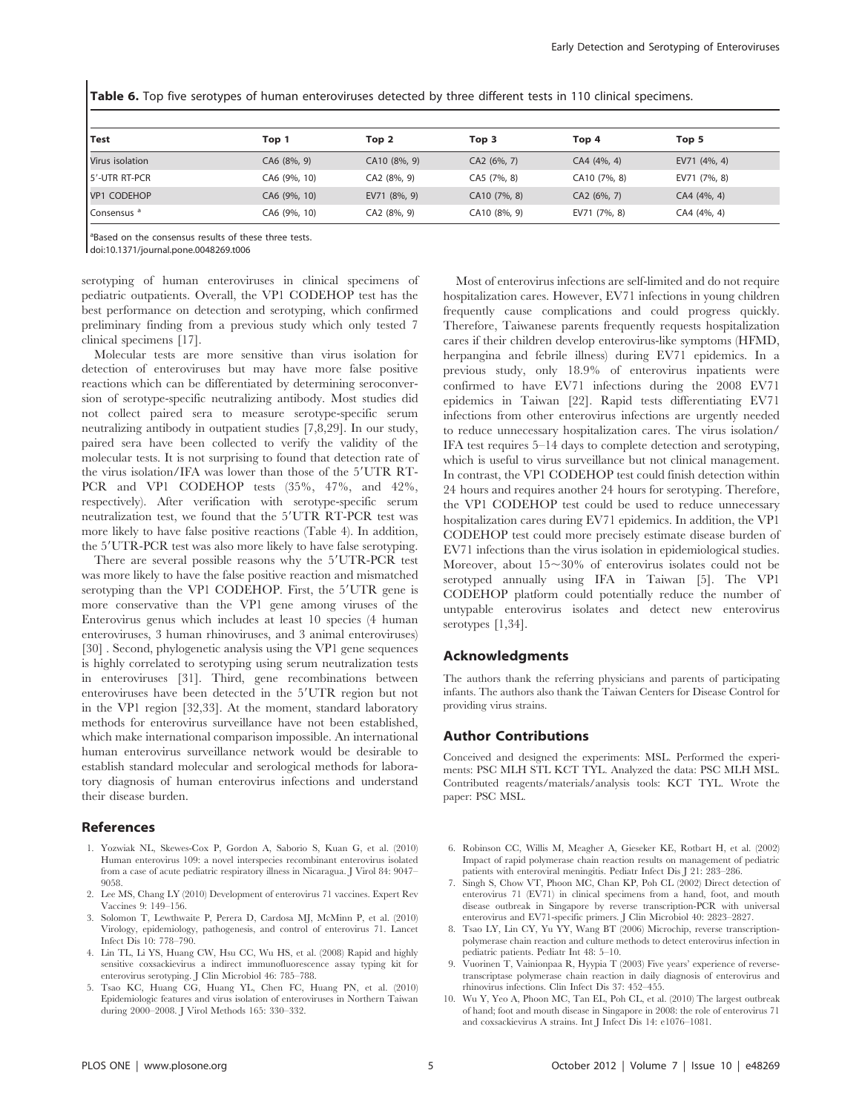| Test                   | Top 1        | Top 2        | Top 3        | Top 4        | Top 5        |  |
|------------------------|--------------|--------------|--------------|--------------|--------------|--|
| Virus isolation        | CA6 (8%, 9)  | CA10 (8%, 9) | CA2 (6%, 7)  | CA4 (4%, 4)  | EV71 (4%, 4) |  |
| 5'-UTR RT-PCR          | CA6 (9%, 10) | CA2 (8%, 9)  | CA5 (7%, 8)  | CA10 (7%, 8) | EV71 (7%, 8) |  |
| VP1 CODEHOP            | CA6 (9%, 10) | EV71 (8%, 9) | CA10 (7%, 8) | CA2(6%, 7)   | CA4 (4%, 4)  |  |
| Consensus <sup>a</sup> | CA6 (9%, 10) | CA2 (8%, 9)  | CA10 (8%, 9) | EV71 (7%, 8) | CA4 (4%, 4)  |  |

Table 6. Top five serotypes of human enteroviruses detected by three different tests in 110 clinical specimens.

<sup>a</sup>Based on the consensus results of these three tests.

doi:10.1371/journal.pone.0048269.t006

serotyping of human enteroviruses in clinical specimens of pediatric outpatients. Overall, the VP1 CODEHOP test has the best performance on detection and serotyping, which confirmed preliminary finding from a previous study which only tested 7 clinical specimens [17].

Molecular tests are more sensitive than virus isolation for detection of enteroviruses but may have more false positive reactions which can be differentiated by determining seroconversion of serotype-specific neutralizing antibody. Most studies did not collect paired sera to measure serotype-specific serum neutralizing antibody in outpatient studies [7,8,29]. In our study, paired sera have been collected to verify the validity of the molecular tests. It is not surprising to found that detection rate of the virus isolation/IFA was lower than those of the 5'UTR RT-PCR and VP1 CODEHOP tests (35%, 47%, and 42%, respectively). After verification with serotype-specific serum neutralization test, we found that the 5'UTR RT-PCR test was more likely to have false positive reactions (Table 4). In addition, the 5'UTR-PCR test was also more likely to have false serotyping.

There are several possible reasons why the 5'UTR-PCR test was more likely to have the false positive reaction and mismatched serotyping than the VP1 CODEHOP. First, the 5'UTR gene is more conservative than the VP1 gene among viruses of the Enterovirus genus which includes at least 10 species (4 human enteroviruses, 3 human rhinoviruses, and 3 animal enteroviruses) [30] . Second, phylogenetic analysis using the VP1 gene sequences is highly correlated to serotyping using serum neutralization tests in enteroviruses [31]. Third, gene recombinations between enteroviruses have been detected in the 5'UTR region but not in the VP1 region [32,33]. At the moment, standard laboratory methods for enterovirus surveillance have not been established, which make international comparison impossible. An international human enterovirus surveillance network would be desirable to establish standard molecular and serological methods for laboratory diagnosis of human enterovirus infections and understand their disease burden.

# References

- 1. Yozwiak NL, Skewes-Cox P, Gordon A, Saborio S, Kuan G, et al. (2010) Human enterovirus 109: a novel interspecies recombinant enterovirus isolated from a case of acute pediatric respiratory illness in Nicaragua. J Virol 84: 9047– 9058.
- 2. Lee MS, Chang LY (2010) Development of enterovirus 71 vaccines. Expert Rev Vaccines 9: 149–156.
- 3. Solomon T, Lewthwaite P, Perera D, Cardosa MJ, McMinn P, et al. (2010) Virology, epidemiology, pathogenesis, and control of enterovirus 71. Lancet Infect Dis 10: 778–790.
- 4. Lin TL, Li YS, Huang CW, Hsu CC, Wu HS, et al. (2008) Rapid and highly sensitive coxsackievirus a indirect immunofluorescence assay typing kit for enterovirus serotyping. J Clin Microbiol 46: 785–788.
- 5. Tsao KC, Huang CG, Huang YL, Chen FC, Huang PN, et al. (2010) Epidemiologic features and virus isolation of enteroviruses in Northern Taiwan during 2000–2008. J Virol Methods 165: 330–332.

Most of enterovirus infections are self-limited and do not require hospitalization cares. However, EV71 infections in young children frequently cause complications and could progress quickly. Therefore, Taiwanese parents frequently requests hospitalization cares if their children develop enterovirus-like symptoms (HFMD, herpangina and febrile illness) during EV71 epidemics. In a previous study, only 18.9% of enterovirus inpatients were confirmed to have EV71 infections during the 2008 EV71 epidemics in Taiwan [22]. Rapid tests differentiating EV71 infections from other enterovirus infections are urgently needed to reduce unnecessary hospitalization cares. The virus isolation/ IFA test requires 5–14 days to complete detection and serotyping, which is useful to virus surveillance but not clinical management. In contrast, the VP1 CODEHOP test could finish detection within 24 hours and requires another 24 hours for serotyping. Therefore, the VP1 CODEHOP test could be used to reduce unnecessary hospitalization cares during EV71 epidemics. In addition, the VP1 CODEHOP test could more precisely estimate disease burden of EV71 infections than the virus isolation in epidemiological studies. Moreover, about  $15 \sim 30\%$  of enterovirus isolates could not be serotyped annually using IFA in Taiwan [5]. The VP1 CODEHOP platform could potentially reduce the number of untypable enterovirus isolates and detect new enterovirus serotypes [1,34].

# Acknowledgments

The authors thank the referring physicians and parents of participating infants. The authors also thank the Taiwan Centers for Disease Control for providing virus strains.

# Author Contributions

Conceived and designed the experiments: MSL. Performed the experiments: PSC MLH STL KCT TYL. Analyzed the data: PSC MLH MSL. Contributed reagents/materials/analysis tools: KCT TYL. Wrote the paper: PSC MSL.

- 6. Robinson CC, Willis M, Meagher A, Gieseker KE, Rotbart H, et al. (2002) Impact of rapid polymerase chain reaction results on management of pediatric patients with enteroviral meningitis. Pediatr Infect Dis J 21: 283–286.
- 7. Singh S, Chow VT, Phoon MC, Chan KP, Poh CL (2002) Direct detection of enterovirus 71 (EV71) in clinical specimens from a hand, foot, and mouth disease outbreak in Singapore by reverse transcription-PCR with universal enterovirus and EV71-specific primers. J Clin Microbiol 40: 2823–2827.
- 8. Tsao LY, Lin CY, Yu YY, Wang BT (2006) Microchip, reverse transcriptionpolymerase chain reaction and culture methods to detect enterovirus infection in pediatric patients. Pediatr Int 48: 5–10.
- 9. Vuorinen T, Vainionpaa R, Hyypia T (2003) Five years' experience of reversetranscriptase polymerase chain reaction in daily diagnosis of enterovirus and rhinovirus infections. Clin Infect Dis 37: 452–455.
- 10. Wu Y, Yeo A, Phoon MC, Tan EL, Poh CL, et al. (2010) The largest outbreak of hand; foot and mouth disease in Singapore in 2008: the role of enterovirus 71 and coxsackievirus A strains. Int J Infect Dis 14: e1076–1081.